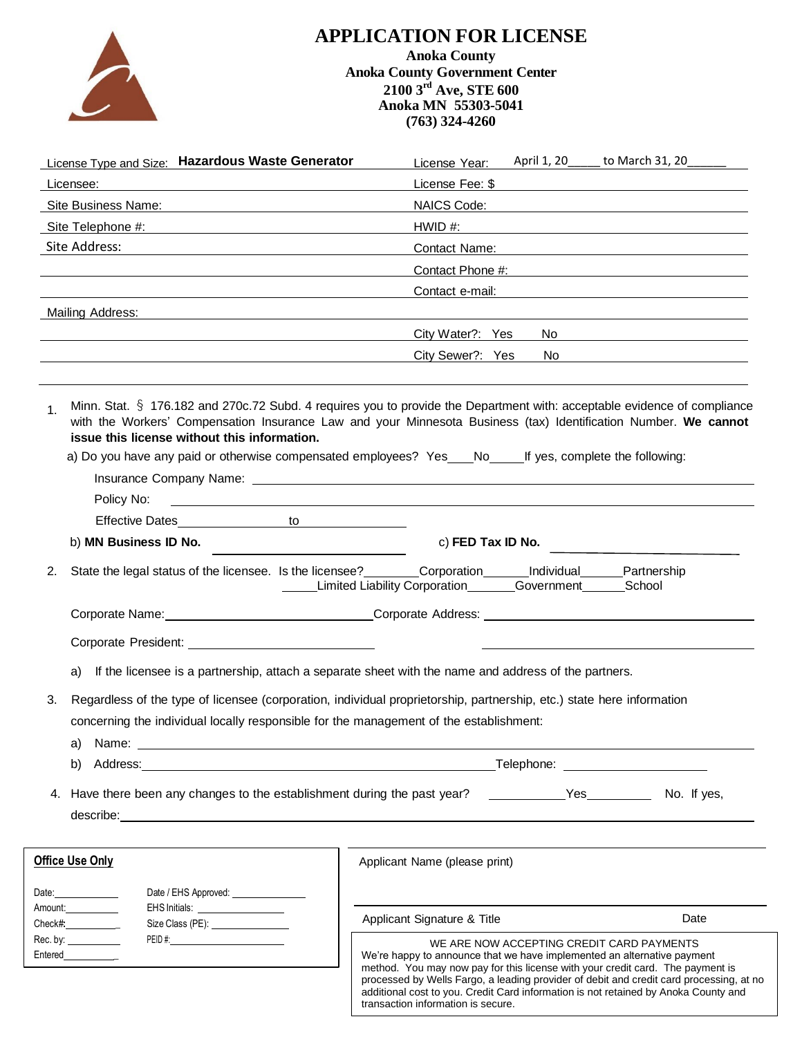

## **APPLICATION FOR LICENSE**

**Anoka County Anoka County Government Center 2100 3 rd Ave, STE 600 Anoka MN 55303-5041 (763) 324-4260**

| <b>License Type and Size: Hazardous Waste Generator</b>                                                                                                                                                                              | License Year: April 1, 20 _____ to March 31, 20 ______                                                                                                                                                                                                                                                                                                                                                                                                                                                                                                                                                 |  |  |  |  |  |  |
|--------------------------------------------------------------------------------------------------------------------------------------------------------------------------------------------------------------------------------------|--------------------------------------------------------------------------------------------------------------------------------------------------------------------------------------------------------------------------------------------------------------------------------------------------------------------------------------------------------------------------------------------------------------------------------------------------------------------------------------------------------------------------------------------------------------------------------------------------------|--|--|--|--|--|--|
| Licensee:                                                                                                                                                                                                                            |                                                                                                                                                                                                                                                                                                                                                                                                                                                                                                                                                                                                        |  |  |  |  |  |  |
|                                                                                                                                                                                                                                      | NAICS Code: We have a state of the state of the state of the state of the state of the state of the state of the state of the state of the state of the state of the state of the state of the state of the state of the state                                                                                                                                                                                                                                                                                                                                                                         |  |  |  |  |  |  |
| Site Telephone #:                                                                                                                                                                                                                    | $HWID$ #:                                                                                                                                                                                                                                                                                                                                                                                                                                                                                                                                                                                              |  |  |  |  |  |  |
| Site Address:                                                                                                                                                                                                                        | Contact Name: Williams and Contact Name:                                                                                                                                                                                                                                                                                                                                                                                                                                                                                                                                                               |  |  |  |  |  |  |
|                                                                                                                                                                                                                                      | Contact Phone #: The Contact Phone #:                                                                                                                                                                                                                                                                                                                                                                                                                                                                                                                                                                  |  |  |  |  |  |  |
|                                                                                                                                                                                                                                      | Contact e-mail: <b>Example 2018</b>                                                                                                                                                                                                                                                                                                                                                                                                                                                                                                                                                                    |  |  |  |  |  |  |
| Mailing Address:                                                                                                                                                                                                                     |                                                                                                                                                                                                                                                                                                                                                                                                                                                                                                                                                                                                        |  |  |  |  |  |  |
|                                                                                                                                                                                                                                      | City Water?: Yes                                                                                                                                                                                                                                                                                                                                                                                                                                                                                                                                                                                       |  |  |  |  |  |  |
|                                                                                                                                                                                                                                      | City Sewer?: Yes<br>No produce the contract of the contract of the contract of the contract of the contract of the contract of the                                                                                                                                                                                                                                                                                                                                                                                                                                                                     |  |  |  |  |  |  |
| 1 <sub>1</sub><br>issue this license without this information.<br>Policy No:                                                                                                                                                         | Minn. Stat. § 176.182 and 270c.72 Subd. 4 requires you to provide the Department with: acceptable evidence of compliance<br>with the Workers' Compensation Insurance Law and your Minnesota Business (tax) Identification Number. We cannot<br>a) Do you have any paid or otherwise compensated employees? Yes ___ No ____ If yes, complete the following:<br>Insurance Company Name: Name and All Company Name and All Company Name and All Company Name and All Company Na<br><u> 1999 - Johann Harry Barn, mars and deur de Barn, mars and deur de Barn, mars and deur de Barn, mars and deur d</u> |  |  |  |  |  |  |
| Effective Dates in the to the control of the control of the control of the control of the control of the control of the control of the control of the control of the control of the control of the control of the control of t       |                                                                                                                                                                                                                                                                                                                                                                                                                                                                                                                                                                                                        |  |  |  |  |  |  |
| b) MN Business ID No.                                                                                                                                                                                                                | c) FED Tax ID No.                                                                                                                                                                                                                                                                                                                                                                                                                                                                                                                                                                                      |  |  |  |  |  |  |
|                                                                                                                                                                                                                                      |                                                                                                                                                                                                                                                                                                                                                                                                                                                                                                                                                                                                        |  |  |  |  |  |  |
| 2.                                                                                                                                                                                                                                   | State the legal status of the licensee. Is the licensee? ________Corporation ______Individual _____Partnership<br>Limited Liability Corporation<br>Government School                                                                                                                                                                                                                                                                                                                                                                                                                                   |  |  |  |  |  |  |
|                                                                                                                                                                                                                                      |                                                                                                                                                                                                                                                                                                                                                                                                                                                                                                                                                                                                        |  |  |  |  |  |  |
|                                                                                                                                                                                                                                      | Corporate Name: Corporate Address: Corporate Address: Corporate Address:                                                                                                                                                                                                                                                                                                                                                                                                                                                                                                                               |  |  |  |  |  |  |
|                                                                                                                                                                                                                                      |                                                                                                                                                                                                                                                                                                                                                                                                                                                                                                                                                                                                        |  |  |  |  |  |  |
| a)                                                                                                                                                                                                                                   | If the licensee is a partnership, attach a separate sheet with the name and address of the partners.                                                                                                                                                                                                                                                                                                                                                                                                                                                                                                   |  |  |  |  |  |  |
| 3.<br>concerning the individual locally responsible for the management of the establishment:<br>a)<br>Name:<br><u> 1980 - Johann Barn, fransk politik (f. 1980)</u>                                                                  | Regardless of the type of licensee (corporation, individual proprietorship, partnership, etc.) state here information                                                                                                                                                                                                                                                                                                                                                                                                                                                                                  |  |  |  |  |  |  |
| b)<br>Address: the contract of the contract of the contract of the contract of the contract of the contract of the contract of the contract of the contract of the contract of the contract of the contract of the contract of the c | Telephone: The contract of the contract of the contract of the contract of the contract of the contract of the                                                                                                                                                                                                                                                                                                                                                                                                                                                                                         |  |  |  |  |  |  |
| 4. Have there been any changes to the establishment during the past year?                                                                                                                                                            | No. If yes                                                                                                                                                                                                                                                                                                                                                                                                                                                                                                                                                                                             |  |  |  |  |  |  |
| <b>Office Use Only</b>                                                                                                                                                                                                               | Applicant Name (please print)                                                                                                                                                                                                                                                                                                                                                                                                                                                                                                                                                                          |  |  |  |  |  |  |
| Date / EHS Approved: _________________<br>Date: <b>Date:</b>                                                                                                                                                                         |                                                                                                                                                                                                                                                                                                                                                                                                                                                                                                                                                                                                        |  |  |  |  |  |  |
| Amount:<br>EHS Initials: <u>_____________________</u>                                                                                                                                                                                |                                                                                                                                                                                                                                                                                                                                                                                                                                                                                                                                                                                                        |  |  |  |  |  |  |
| $Check\#$<br>Size Class (PE): _________________                                                                                                                                                                                      | Applicant Signature & Title<br>Date                                                                                                                                                                                                                                                                                                                                                                                                                                                                                                                                                                    |  |  |  |  |  |  |
| Rec. by: $\frac{1}{2}$<br>Entered___________                                                                                                                                                                                         | WE ARE NOW ACCEPTING CREDIT CARD PAYMENTS<br>We're happy to announce that we have implemented an alternative payment<br>method. You may now pay for this license with your credit card. The payment is<br>processed by Wells Fargo, a leading provider of debit and credit card processing, at no<br>additional cost to you. Credit Card information is not retained by Anoka County and<br>transaction information is secure.                                                                                                                                                                         |  |  |  |  |  |  |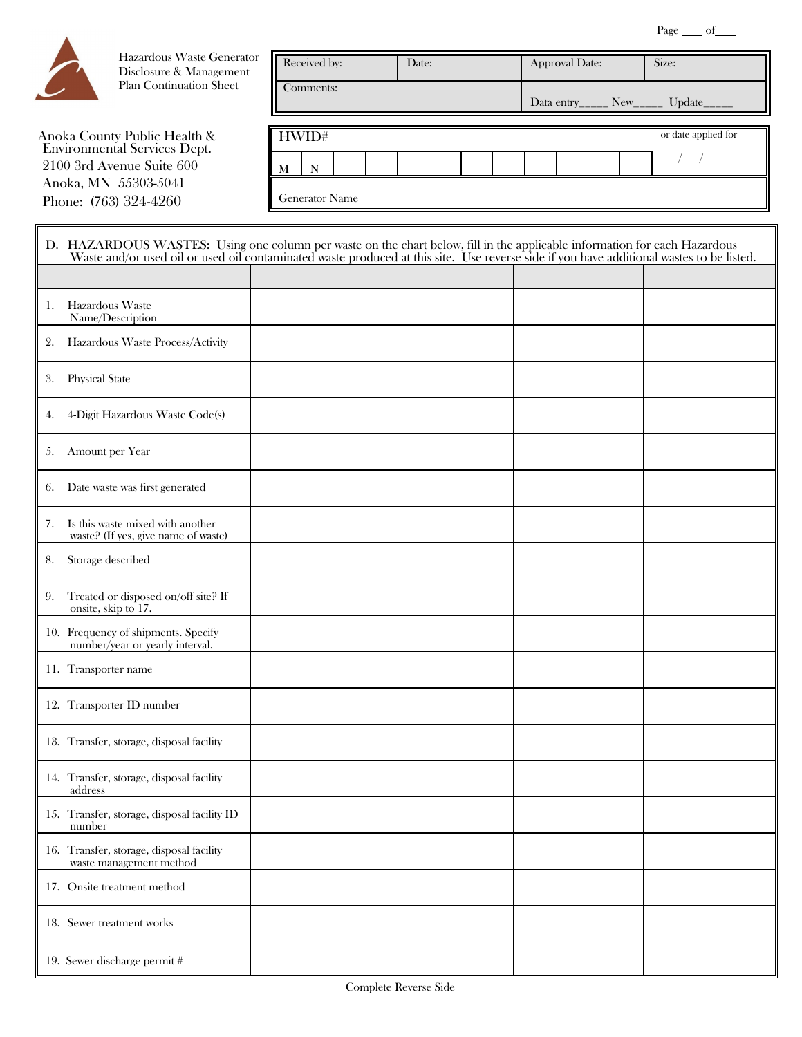

Hazardous Waste Generator Disclosure & Management Plan Continuation Sheet

Anoka County Public Health & Environmental Services Dept. 2100 3rd Avenue Suite 600 Anoka, MN 55303-5041 Phone: (763) 324-4260

| Received by: |                       |  | Date: |  |                                       |  | <b>Approval Date:</b> |  | Size: |                     |  |
|--------------|-----------------------|--|-------|--|---------------------------------------|--|-----------------------|--|-------|---------------------|--|
| Comments:    |                       |  |       |  | Data entry_____ New______ Update_____ |  |                       |  |       |                     |  |
|              | HWID#                 |  |       |  |                                       |  |                       |  |       | or date applied for |  |
| N<br>М       |                       |  |       |  |                                       |  |                       |  |       |                     |  |
|              | <b>Generator Name</b> |  |       |  |                                       |  |                       |  |       |                     |  |

|    | D. HAZARDOUS WASTES: Using one column per waste on the chart below, fill in the applicable information for each Hazardous<br>Waste and/or used oil or used oil contaminated waste produced at this site. Use reverse side if you have additional wastes to be listed. |  |  |  |  |  |  |
|----|-----------------------------------------------------------------------------------------------------------------------------------------------------------------------------------------------------------------------------------------------------------------------|--|--|--|--|--|--|
|    |                                                                                                                                                                                                                                                                       |  |  |  |  |  |  |
| 1. | Hazardous Waste<br>Name/Description                                                                                                                                                                                                                                   |  |  |  |  |  |  |
| 2. | Hazardous Waste Process/Activity                                                                                                                                                                                                                                      |  |  |  |  |  |  |
| 3. | <b>Physical State</b>                                                                                                                                                                                                                                                 |  |  |  |  |  |  |
| 4. | 4-Digit Hazardous Waste Code(s)                                                                                                                                                                                                                                       |  |  |  |  |  |  |
| 5. | Amount per Year                                                                                                                                                                                                                                                       |  |  |  |  |  |  |
| 6. | Date waste was first generated                                                                                                                                                                                                                                        |  |  |  |  |  |  |
| 7. | Is this waste mixed with another<br>waste? (If yes, give name of waste)                                                                                                                                                                                               |  |  |  |  |  |  |
| 8. | Storage described                                                                                                                                                                                                                                                     |  |  |  |  |  |  |
| 9. | Treated or disposed on/off site? If<br>onsite, skip to 17.                                                                                                                                                                                                            |  |  |  |  |  |  |
|    | 10. Frequency of shipments. Specify<br>number/year or yearly interval.                                                                                                                                                                                                |  |  |  |  |  |  |
|    | 11. Transporter name                                                                                                                                                                                                                                                  |  |  |  |  |  |  |
|    | 12. Transporter ID number                                                                                                                                                                                                                                             |  |  |  |  |  |  |
|    | 13. Transfer, storage, disposal facility                                                                                                                                                                                                                              |  |  |  |  |  |  |
|    | 14. Transfer, storage, disposal facility<br>address                                                                                                                                                                                                                   |  |  |  |  |  |  |
|    | 15. Transfer, storage, disposal facility ID<br>number                                                                                                                                                                                                                 |  |  |  |  |  |  |
|    | 16. Transfer, storage, disposal facility<br>waste management method                                                                                                                                                                                                   |  |  |  |  |  |  |
|    | 17. Onsite treatment method                                                                                                                                                                                                                                           |  |  |  |  |  |  |
|    | 18. Sewer treatment works                                                                                                                                                                                                                                             |  |  |  |  |  |  |
|    | 19. Sewer discharge permit #                                                                                                                                                                                                                                          |  |  |  |  |  |  |